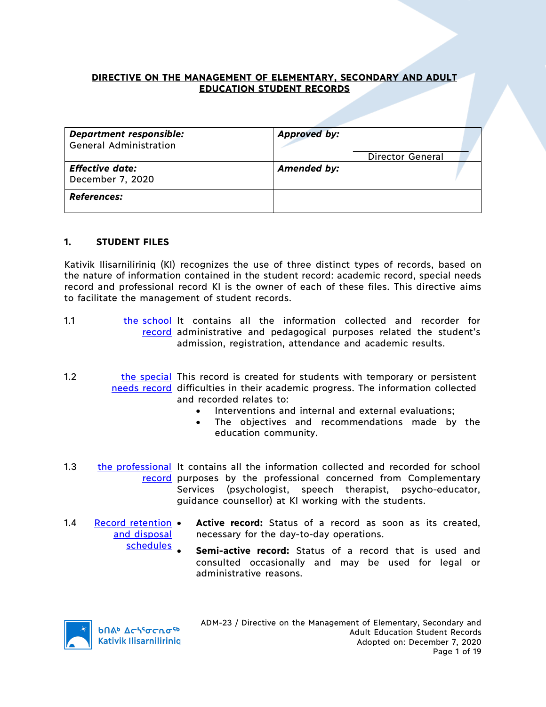## **DIRECTIVE ON THE MANAGEMENT OF ELEMENTARY, SECONDARY AND ADULT EDUCATION STUDENT RECORDS**

| <b>Department responsible:</b><br><b>General Administration</b> | <b>Approved by:</b><br>Director General |
|-----------------------------------------------------------------|-----------------------------------------|
| <b>Effective date:</b><br>December 7, 2020                      | Amended by:                             |
| <b>References:</b>                                              |                                         |

### **1. STUDENT FILES**

Kativik Ilisarniliriniq (KI) recognizes the use of three distinct types of records, based on the nature of information contained in the student record: academic record, special needs record and professional record KI is the owner of each of these files. This directive aims to facilitate the management of student records.

- 1.1 **the school** It contains all the information collected and recorder for record administrative and pedagogical purposes related the student's admission, registration, attendance and academic results.
- 1.2 the special This record is created for students with temporary or persistent needs record difficulties in their academic progress. The information collected and recorded relates to:
	- Interventions and internal and external evaluations;
	- The objectives and recommendations made by the education community.
- 1.3 the professional It contains all the information collected and recorded for school record purposes by the professional concerned from Complementary Services (psychologist, speech therapist, psycho-educator, guidance counsellor) at KI working with the students.
- 1.4 Record retention and disposal Active record: Status of a record as soon as its created, necessary for the day-to-day operations.
	- schedules **Semi-active record:** Status of a record that is used and consulted occasionally and may be used for legal or administrative reasons.



**b**በል<sup>b</sup> Δςιτσς το <sup>τρ</sup> **Kativik Ilisarnilirinig**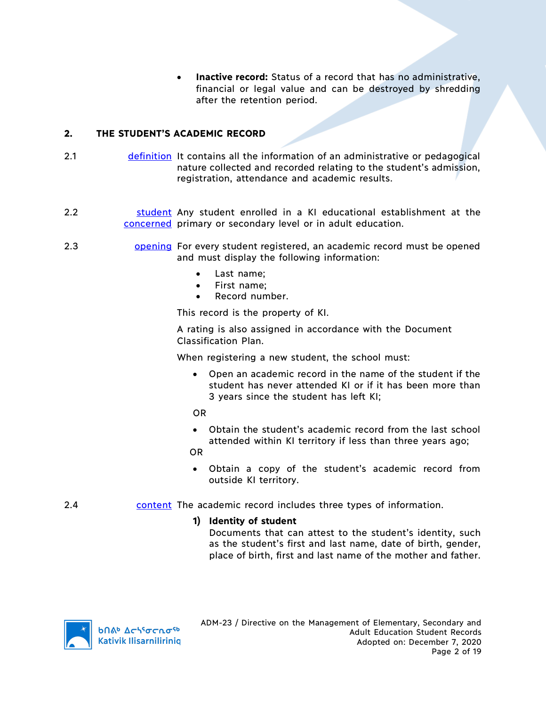• **Inactive record:** Status of a record that has no administrative, financial or legal value and can be destroyed by shredding after the retention period.

## **2. THE STUDENT'S ACADEMIC RECORD**

- 2.1 definition It contains all the information of an administrative or pedagogical nature collected and recorded relating to the student's admission, registration, attendance and academic results.
- 2.2 **Student Any student enrolled in a KI educational establishment at the** concerned primary or secondary level or in adult education.
- 2.3 **opening For every student registered, an academic record must be opened** and must display the following information:
	- Last name;
	- First name;
	- Record number.

This record is the property of KI.

A rating is also assigned in accordance with the Document Classification Plan.

When registering a new student, the school must:

• Open an academic record in the name of the student if the student has never attended KI or if it has been more than 3 years since the student has left KI;

OR

• Obtain the student's academic record from the last school attended within KI territory if less than three years ago;

OR

- Obtain a copy of the student's academic record from outside KI territory.
- 2.4 content The academic record includes three types of information.

## **1) Identity of student**

Documents that can attest to the student's identity, such as the student's first and last name, date of birth, gender, place of birth, first and last name of the mother and father.

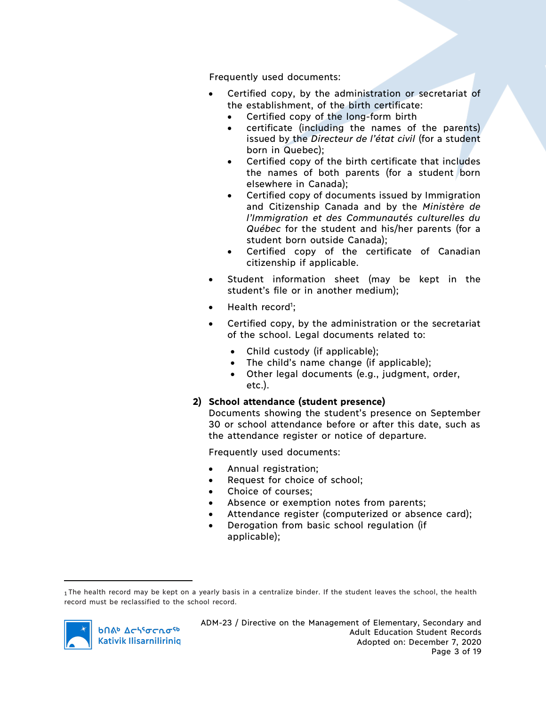Frequently used documents:

- Certified copy, by the administration or secretariat of the establishment, of the birth certificate:
	- Certified copy of the long-form birth
	- certificate (including the names of the parents) issued by the *Directeur de l'état civil* (for a student born in Quebec);
	- Certified copy of the birth certificate that includes the names of both parents (for a student born elsewhere in Canada);
	- Certified copy of documents issued by Immigration and Citizenship Canada and by the *Ministère de l'Immigration et des Communautés culturelles du Québec* for the student and his/her parents (for a student born outside Canada);
	- Certified copy of the certificate of Canadian citizenship if applicable.
- Student information sheet (may be kept in the student's file or in another medium);
- Health record<sup>1</sup>;
- Certified copy, by the administration or the secretariat of the school. Legal documents related to:
	- Child custody (if applicable);
	- The child's name change (if applicable);
	- Other legal documents (e.g., judgment, order, etc.).

## **2) School attendance (student presence)**

Documents showing the student's presence on September 30 or school attendance before or after this date, such as the attendance register or notice of departure.

Frequently used documents:

- Annual registration;
- Request for choice of school;
- Choice of courses;
- Absence or exemption notes from parents;
- Attendance register (computerized or absence card);
- Derogation from basic school regulation (if applicable);

<sup>1</sup> The health record may be kept on a yearly basis in a centralize binder. If the student leaves the school, the health record must be reclassified to the school record.



 $\overline{a}$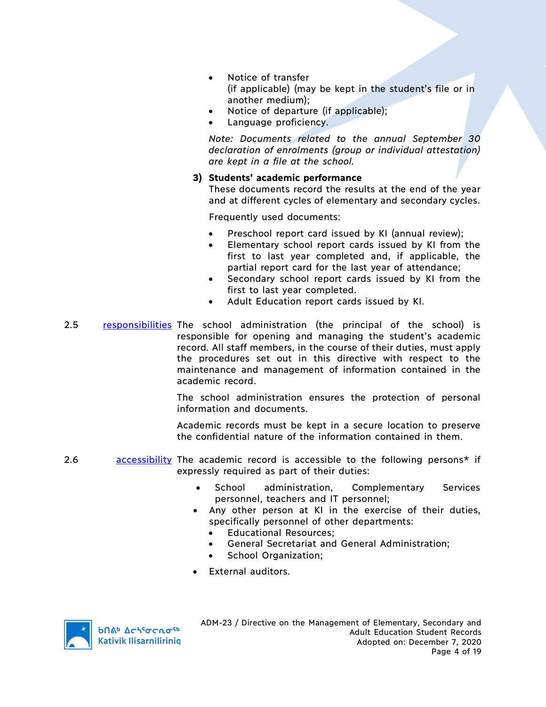- Notice of transfer (if applicable) (may be kept in the student's file or in another medium);
- Notice of departure (if applicable);
- Language proficiency.

*Note: Documents related to the annual September 30 declaration of enrolments (group or individual attestation) are kept in a file at the school.*

#### **3) Students' academic performance**

These documents record the results at the end of the year and at different cycles of elementary and secondary cycles.

Frequently used documents:

- Preschool report card issued by KI (annual review);
- Elementary school report cards issued by KI from the first to last year completed and, if applicable, the partial report card for the last year of attendance;
- Secondary school report cards issued by KI from the first to last year completed.
- Adult Education report cards issued by KI.
- 2.5 responsibilities The school administration (the principal of the school) is responsible for opening and managing the student's academic record. All staff members, in the course of their duties, must apply the procedures set out in this directive with respect to the maintenance and management of information contained in the academic record.

The school administration ensures the protection of personal information and documents.

Academic records must be kept in a secure location to preserve the confidential nature of the information contained in them.

- 2.6 **accessibility** The academic record is accessible to the following persons\* if expressly required as part of their duties:
	- School administration, Complementary Services personnel, teachers and IT personnel;
	- Any other person at KI in the exercise of their duties, specifically personnel of other departments:
		- Educational Resources;
		- General Secretariat and General Administration;
		- School Organization;
	- External auditors.

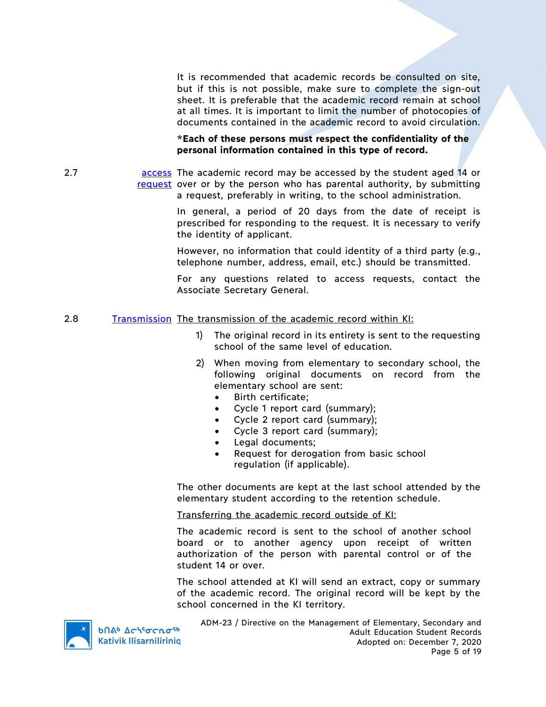It is recommended that academic records be consulted on site, but if this is not possible, make sure to complete the sign-out sheet. It is preferable that the academic record remain at school at all times. It is important to limit the number of photocopies of documents contained in the academic record to avoid circulation.

\***Each of these persons must respect the confidentiality of the personal information contained in this type of record.**

2.7 **access** The academic record may be accessed by the student aged 14 or request over or by the person who has parental authority, by submitting a request, preferably in writing, to the school administration.

> In general, a period of 20 days from the date of receipt is prescribed for responding to the request. It is necessary to verify the identity of applicant.

> However, no information that could identity of a third party (e.g., telephone number, address, email, etc.) should be transmitted.

> For any questions related to access requests, contact the Associate Secretary General.

#### 2.8 Transmission The transmission of the academic record within KI:

- 1) The original record in its entirety is sent to the requesting school of the same level of education.
- 2) When moving from elementary to secondary school, the following original documents on record from the elementary school are sent:
	- Birth certificate;
	- Cycle 1 report card (summary);
	- Cycle 2 report card (summary);
	- Cycle 3 report card (summary);
	- Legal documents;
	- Request for derogation from basic school regulation (if applicable).

The other documents are kept at the last school attended by the elementary student according to the retention schedule.

Transferring the academic record outside of KI:

The academic record is sent to the school of another school board or to another agency upon receipt of written authorization of the person with parental control or of the student 14 or over.

The school attended at KI will send an extract, copy or summary of the academic record. The original record will be kept by the school concerned in the KI territory.



bበል<sup>b</sup> Δς<sup>ις</sup>σς ησ<sup>ς 6</sup> **Kativik Ilisarnilirinig**  ADM-23 / Directive on the Management of Elementary, Secondary and Adult Education Student Records Adopted on: December 7, 2020 Page 5 of 19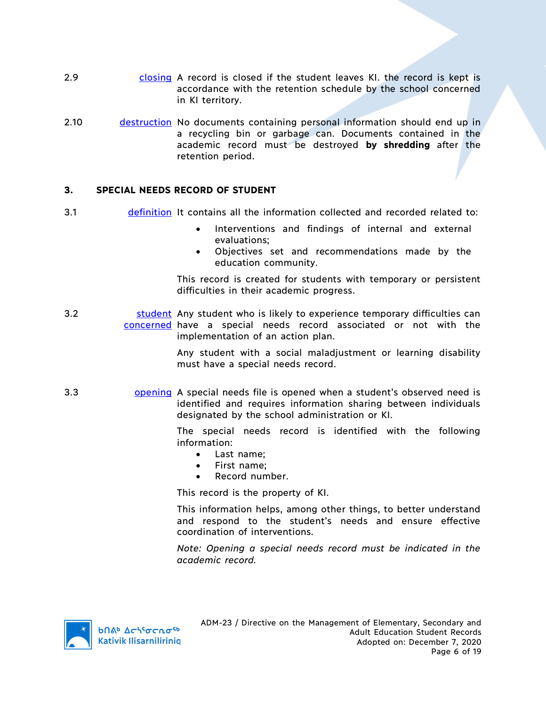- 2.9 closing A record is closed if the student leaves KI. the record is kept is accordance with the retention schedule by the school concerned in KI territory.
- 2.10 destruction No documents containing personal information should end up in a recycling bin or garbage can. Documents contained in the academic record must be destroyed **by shredding** after the retention period.

#### **3. SPECIAL NEEDS RECORD OF STUDENT**

- 3.1 definition It contains all the information collected and recorded related to:
	- Interventions and findings of internal and external evaluations;
	- Objectives set and recommendations made by the education community.

This record is created for students with temporary or persistent difficulties in their academic progress.

3.2 **Student** Any student who is likely to experience temporary difficulties can concerned have a special needs record associated or not with the implementation of an action plan.

> Any student with a social maladjustment or learning disability must have a special needs record.

3.3 opening A special needs file is opened when a student's observed need is identified and requires information sharing between individuals designated by the school administration or KI.

> The special needs record is identified with the following information:

- Last name;
- First name;
- Record number.

This record is the property of KI.

This information helps, among other things, to better understand and respond to the student's needs and ensure effective coordination of interventions.

*Note: Opening a special needs record must be indicated in the academic record.*

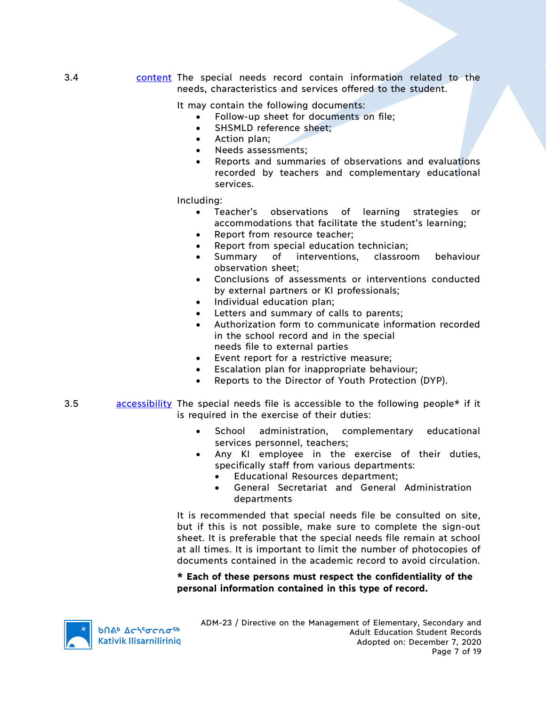3.4 content The special needs record contain information related to the needs, characteristics and services offered to the student.

It may contain the following documents:

- Follow-up sheet for documents on file;
- SHSMLD reference sheet;
- Action plan;
- Needs assessments:
- Reports and summaries of observations and evaluations recorded by teachers and complementary educational services.

Including:

- Teacher's observations of learning strategies or accommodations that facilitate the student's learning;
- Report from resource teacher;
- Report from special education technician;
- Summary of interventions, classroom behaviour observation sheet;
- Conclusions of assessments or interventions conducted by external partners or KI professionals;
- Individual education plan;
- Letters and summary of calls to parents;
- Authorization form to communicate information recorded in the school record and in the special needs file to external parties
- Event report for a restrictive measure;
- Escalation plan for inappropriate behaviour;
- Reports to the Director of Youth Protection (DYP).
- 3.5 accessibility The special needs file is accessible to the following people\* if it is required in the exercise of their duties:
	- School administration, complementary educational services personnel, teachers;
	- Any KI employee in the exercise of their duties, specifically staff from various departments:
		- Educational Resources department;
		- General Secretariat and General Administration departments

It is recommended that special needs file be consulted on site, but if this is not possible, make sure to complete the sign-out sheet. It is preferable that the special needs file remain at school at all times. It is important to limit the number of photocopies of documents contained in the academic record to avoid circulation.

### **\* Each of these persons must respect the confidentiality of the personal information contained in this type of record.**

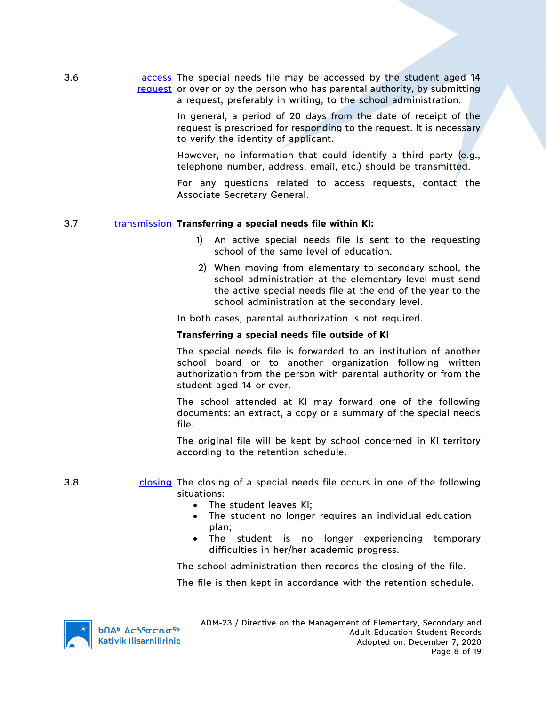3.6 **access** The special needs file may be accessed by the student aged 14 request or over or by the person who has parental authority, by submitting a request, preferably in writing, to the school administration.

> In general, a period of 20 days from the date of receipt of the request is prescribed for responding to the request. It is necessary to verify the identity of applicant.

> However, no information that could identify a third party (e.g., telephone number, address, email, etc.) should be transmitted.

> For any questions related to access requests, contact the Associate Secretary General.

### 3.7 transmission **Transferring a special needs file within KI:**

- 1) An active special needs file is sent to the requesting school of the same level of education.
- 2) When moving from elementary to secondary school, the school administration at the elementary level must send the active special needs file at the end of the year to the school administration at the secondary level.

In both cases, parental authorization is not required.

#### **Transferring a special needs file outside of KI**

The special needs file is forwarded to an institution of another school board or to another organization following written authorization from the person with parental authority or from the student aged 14 or over.

The school attended at KI may forward one of the following documents: an extract, a copy or a summary of the special needs file.

The original file will be kept by school concerned in KI territory according to the retention schedule.

#### 3.8 closing The closing of a special needs file occurs in one of the following situations:

- The student leaves KI;
- The student no longer requires an individual education plan;
- The student is no longer experiencing temporary difficulties in her/her academic progress.

The school administration then records the closing of the file.

The file is then kept in accordance with the retention schedule.



**b**በል<sup>b</sup> Δςιτσς το<sup>ς</sup> **Kativik Ilisarnilirinig**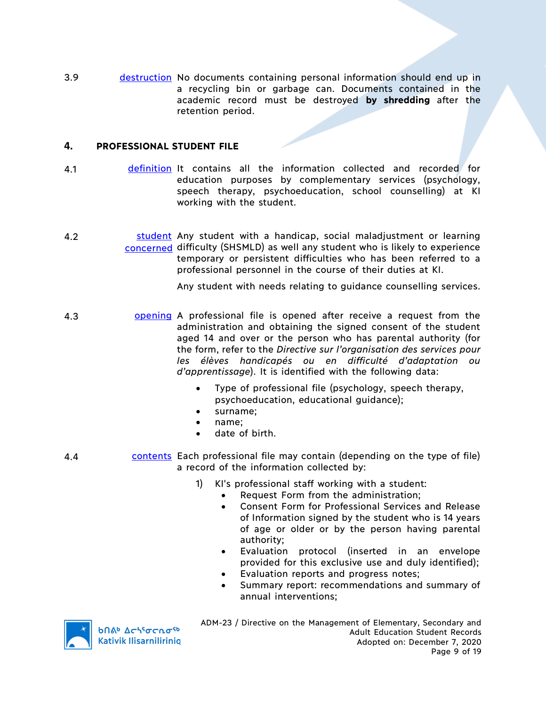3.9 destruction No documents containing personal information should end up in a recycling bin or garbage can. Documents contained in the academic record must be destroyed **by shredding** after the retention period.

## **4. PROFESSIONAL STUDENT FILE**

- 4.1 definition It contains all the information collected and recorded for education purposes by complementary services (psychology, speech therapy, psychoeducation, school counselling) at KI working with the student.
- 4.2 **student** Any student with a handicap, social maladjustment or learning concerned difficulty (SHSMLD) as well any student who is likely to experience temporary or persistent difficulties who has been referred to a professional personnel in the course of their duties at KI.

Any student with needs relating to guidance counselling services.

- 4.3 **opening** A professional file is opened after receive a request from the administration and obtaining the signed consent of the student aged 14 and over or the person who has parental authority (for the form, refer to the *Directive sur l'organisation des services pour les élèves handicapés ou en difficulté d'adaptation ou d'apprentissage*). It is identified with the following data:
	- Type of professional file (psychology, speech therapy, psychoeducation, educational guidance);
	- surname;
	- name;
	- date of birth.
- 4.4 **contents Each professional file may contain (depending on the type of file)** a record of the information collected by:
	- 1) KI's professional staff working with a student:
		- Request Form from the administration;
		- Consent Form for Professional Services and Release of Information signed by the student who is 14 years of age or older or by the person having parental authority;
		- Evaluation protocol (inserted in an envelope provided for this exclusive use and duly identified);
		- Evaluation reports and progress notes;
		- Summary report: recommendations and summary of annual interventions;



**b**በል<sup>b</sup> Δςιτσς το <sup>τρ</sup> **Kativik Ilisarnilirinig**  ADM-23 / Directive on the Management of Elementary, Secondary and Adult Education Student Records Adopted on: December 7, 2020 Page 9 of 19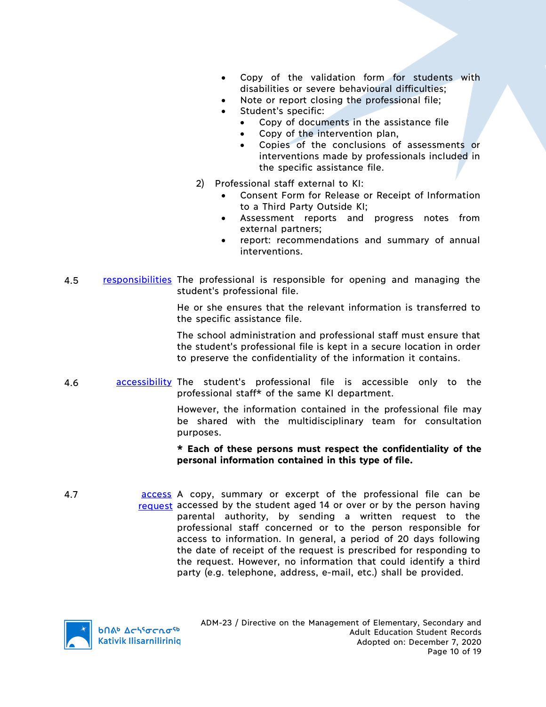- Copy of the validation form for students with disabilities or severe behavioural difficulties;
- Note or report closing the professional file;
- Student's specific:
	- Copy of documents in the assistance file
	- Copy of the intervention plan,
	- Copies of the conclusions of assessments or interventions made by professionals included in the specific assistance file.
- 2) Professional staff external to KI:
	- Consent Form for Release or Receipt of Information to a Third Party Outside KI;
	- Assessment reports and progress notes from external partners;
	- report: recommendations and summary of annual interventions.
- 4.5 responsibilities The professional is responsible for opening and managing the student's professional file.

He or she ensures that the relevant information is transferred to the specific assistance file.

The school administration and professional staff must ensure that the student's professional file is kept in a secure location in order to preserve the confidentiality of the information it contains.

4.6 **accessibility** The student's professional file is accessible only to the professional staff\* of the same KI department.

> However, the information contained in the professional file may be shared with the multidisciplinary team for consultation purposes.

### **\* Each of these persons must respect the confidentiality of the personal information contained in this type of file.**

4.7 **access** A copy, summary or excerpt of the professional file can be request accessed by the student aged 14 or over or by the person having parental authority, by sending a written request to the professional staff concerned or to the person responsible for access to information. In general, a period of 20 days following the date of receipt of the request is prescribed for responding to the request. However, no information that could identify a third party (e.g. telephone, address, e-mail, etc.) shall be provided.

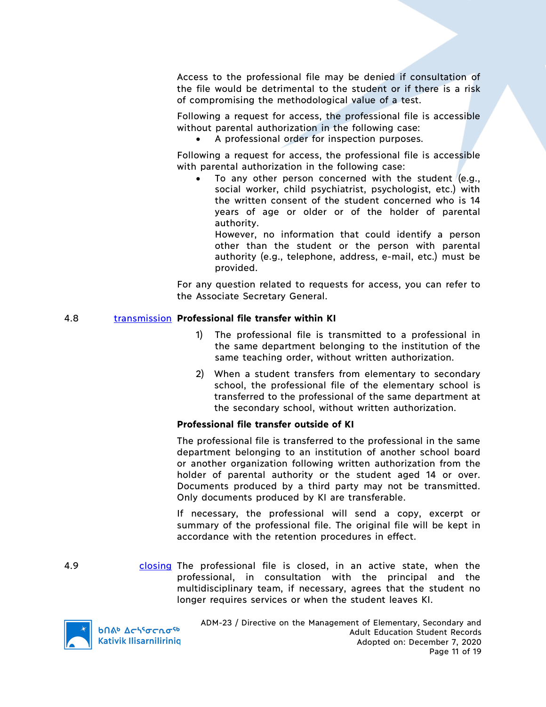Access to the professional file may be denied if consultation of the file would be detrimental to the student or if there is a risk of compromising the methodological value of a test.

Following a request for access, the professional file is accessible without parental authorization in the following case:

• A professional order for inspection purposes.

Following a request for access, the professional file is accessible with parental authorization in the following case:

To any other person concerned with the student  $(e.g.,)$ social worker, child psychiatrist, psychologist, etc.) with the written consent of the student concerned who is 14 years of age or older or of the holder of parental authority.

However, no information that could identify a person other than the student or the person with parental authority (e.g., telephone, address, e-mail, etc.) must be provided.

For any question related to requests for access, you can refer to the Associate Secretary General.

#### 4.8 transmission **Professional file transfer within KI**

- 1) The professional file is transmitted to a professional in the same department belonging to the institution of the same teaching order, without written authorization.
- 2) When a student transfers from elementary to secondary school, the professional file of the elementary school is transferred to the professional of the same department at the secondary school, without written authorization.

#### **Professional file transfer outside of KI**

The professional file is transferred to the professional in the same department belonging to an institution of another school board or another organization following written authorization from the holder of parental authority or the student aged 14 or over. Documents produced by a third party may not be transmitted. Only documents produced by KI are transferable.

If necessary, the professional will send a copy, excerpt or summary of the professional file. The original file will be kept in accordance with the retention procedures in effect.

4.9 closing The professional file is closed, in an active state, when the professional, in consultation with the principal and the multidisciplinary team, if necessary, agrees that the student no longer requires services or when the student leaves KI.



**b**በል<sup>b</sup> Δς<sup>56</sup>σς λσ<sup>ς6</sup> **Kativik Ilisarnilirinig**  ADM-23 / Directive on the Management of Elementary, Secondary and Adult Education Student Records Adopted on: December 7, 2020 Page 11 of 19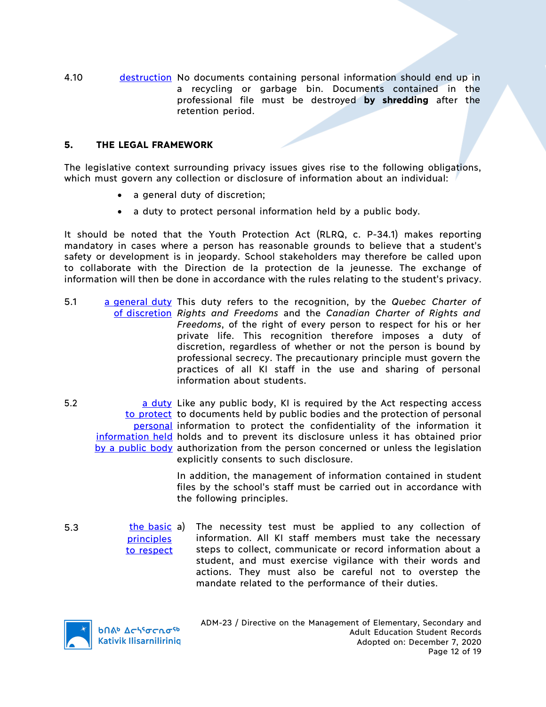4.10 destruction No documents containing personal information should end up in a recycling or garbage bin. Documents contained in the professional file must be destroyed **by shredding** after the retention period.

## **5. THE LEGAL FRAMEWORK**

The legislative context surrounding privacy issues gives rise to the following obligations, which must govern any collection or disclosure of information about an individual:

- a general duty of discretion;
- a duty to protect personal information held by a public body.

It should be noted that the Youth Protection Act (RLRQ, c. P-34.1) makes reporting mandatory in cases where a person has reasonable grounds to believe that a student's safety or development is in jeopardy. School stakeholders may therefore be called upon to collaborate with the Direction de la protection de la jeunesse. The exchange of information will then be done in accordance with the rules relating to the student's privacy.

- 5.1 a general duty This duty refers to the recognition, by the *Quebec Charter of*  of discretion *Rights and Freedoms* and the *Canadian Charter of Rights and Freedoms*, of the right of every person to respect for his or her private life. This recognition therefore imposes a duty of discretion, regardless of whether or not the person is bound by professional secrecy. The precautionary principle must govern the practices of all KI staff in the use and sharing of personal information about students.
- 5.2 **budge any public body, KI is required by the Act respecting access** to protect to documents held by public bodies and the protection of personal personal information to protect the confidentiality of the information it information held holds and to prevent its disclosure unless it has obtained prior by a public body authorization from the person concerned or unless the legislation explicitly consents to such disclosure.

In addition, the management of information contained in student files by the school's staff must be carried out in accordance with the following principles.

5.3 the basic a) principles to respect The necessity test must be applied to any collection of information. All KI staff members must take the necessary steps to collect, communicate or record information about a student, and must exercise vigilance with their words and actions. They must also be careful not to overstep the mandate related to the performance of their duties.



ADM-23 / Directive on the Management of Elementary, Secondary and Adult Education Student Records Adopted on: December 7, 2020 Page 12 of 19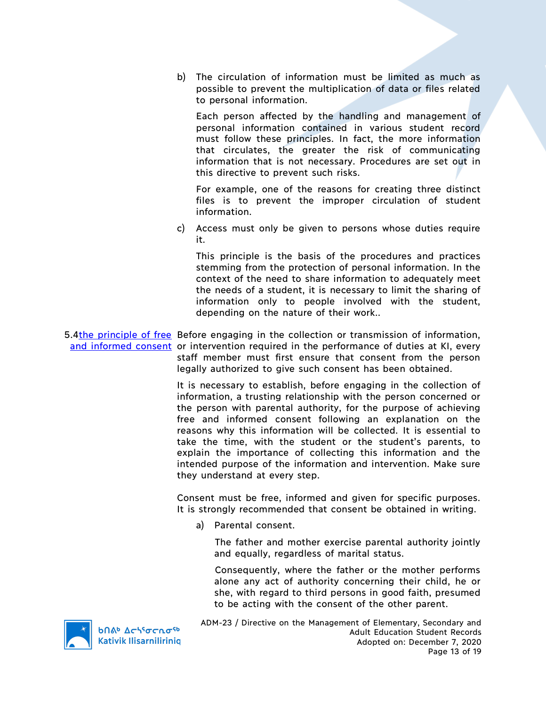b) The circulation of information must be limited as much as possible to prevent the multiplication of data or files related to personal information.

Each person affected by the handling and management of personal information contained in various student record must follow these principles. In fact, the more information that circulates, the greater the risk of communicating information that is not necessary. Procedures are set out in this directive to prevent such risks.

For example, one of the reasons for creating three distinct files is to prevent the improper circulation of student information.

c) Access must only be given to persons whose duties require it.

This principle is the basis of the procedures and practices stemming from the protection of personal information. In the context of the need to share information to adequately meet the needs of a student, it is necessary to limit the sharing of information only to people involved with the student, depending on the nature of their work..

5.4the principle of free Before engaging in the collection or transmission of information, and informed consent or intervention required in the performance of duties at KI, every staff member must first ensure that consent from the person legally authorized to give such consent has been obtained.

> It is necessary to establish, before engaging in the collection of information, a trusting relationship with the person concerned or the person with parental authority, for the purpose of achieving free and informed consent following an explanation on the reasons why this information will be collected. It is essential to take the time, with the student or the student's parents, to explain the importance of collecting this information and the intended purpose of the information and intervention. Make sure they understand at every step.

> Consent must be free, informed and given for specific purposes. It is strongly recommended that consent be obtained in writing.

a) Parental consent.

The father and mother exercise parental authority jointly and equally, regardless of marital status.

Consequently, where the father or the mother performs alone any act of authority concerning their child, he or she, with regard to third persons in good faith, presumed to be acting with the consent of the other parent.

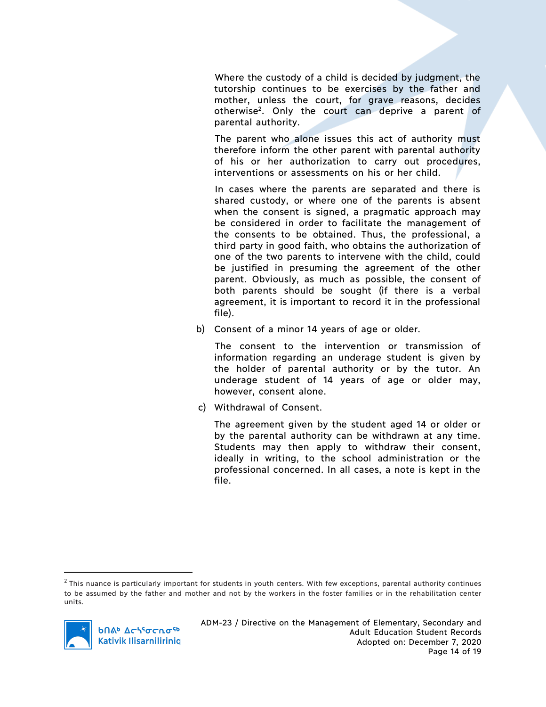Where the custody of a child is decided by judgment, the tutorship continues to be exercises by the father and mother, unless the court, for grave reasons, decides otherwise2. Only the court can deprive a parent of parental authority.

The parent who alone issues this act of authority must therefore inform the other parent with parental authority of his or her authorization to carry out procedures, interventions or assessments on his or her child.

In cases where the parents are separated and there is shared custody, or where one of the parents is absent when the consent is signed, a pragmatic approach may be considered in order to facilitate the management of the consents to be obtained. Thus, the professional, a third party in good faith, who obtains the authorization of one of the two parents to intervene with the child, could be justified in presuming the agreement of the other parent. Obviously, as much as possible, the consent of both parents should be sought (if there is a verbal agreement, it is important to record it in the professional file).

b) Consent of a minor 14 years of age or older.

The consent to the intervention or transmission of information regarding an underage student is given by the holder of parental authority or by the tutor. An underage student of 14 years of age or older may, however, consent alone.

c) Withdrawal of Consent.

The agreement given by the student aged 14 or older or by the parental authority can be withdrawn at any time. Students may then apply to withdraw their consent, ideally in writing, to the school administration or the professional concerned. In all cases, a note is kept in the file.

 $2$  This nuance is particularly important for students in youth centers. With few exceptions, parental authority continues to be assumed by the father and mother and not by the workers in the foster families or in the rehabilitation center units.

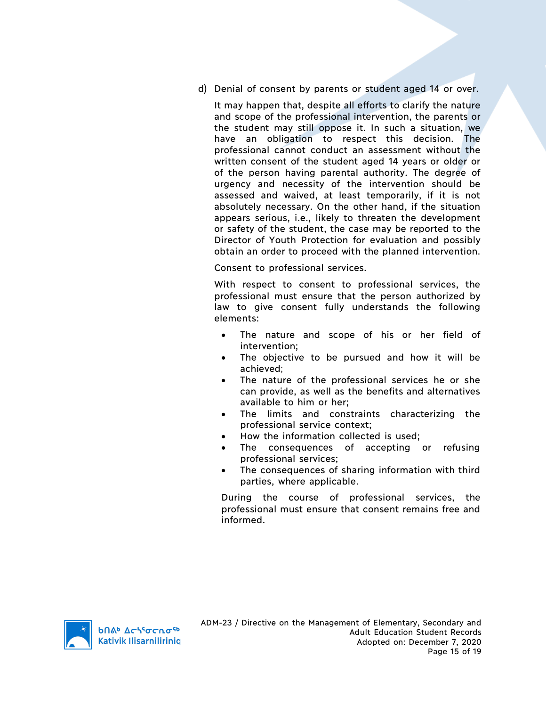d) Denial of consent by parents or student aged 14 or over.

It may happen that, despite all efforts to clarify the nature and scope of the professional intervention, the parents or the student may still oppose it. In such a situation, we have an obligation to respect this decision. The professional cannot conduct an assessment without the written consent of the student aged 14 years or older or of the person having parental authority. The degree of urgency and necessity of the intervention should be assessed and waived, at least temporarily, if it is not absolutely necessary. On the other hand, if the situation appears serious, i.e., likely to threaten the development or safety of the student, the case may be reported to the Director of Youth Protection for evaluation and possibly obtain an order to proceed with the planned intervention.

Consent to professional services.

With respect to consent to professional services, the professional must ensure that the person authorized by law to give consent fully understands the following elements:

- The nature and scope of his or her field of intervention;
- The objective to be pursued and how it will be achieved;
- The nature of the professional services he or she can provide, as well as the benefits and alternatives available to him or her;
- The limits and constraints characterizing the professional service context;
- How the information collected is used;
- The consequences of accepting or refusing professional services;
- The consequences of sharing information with third parties, where applicable.

During the course of professional services, the professional must ensure that consent remains free and informed.

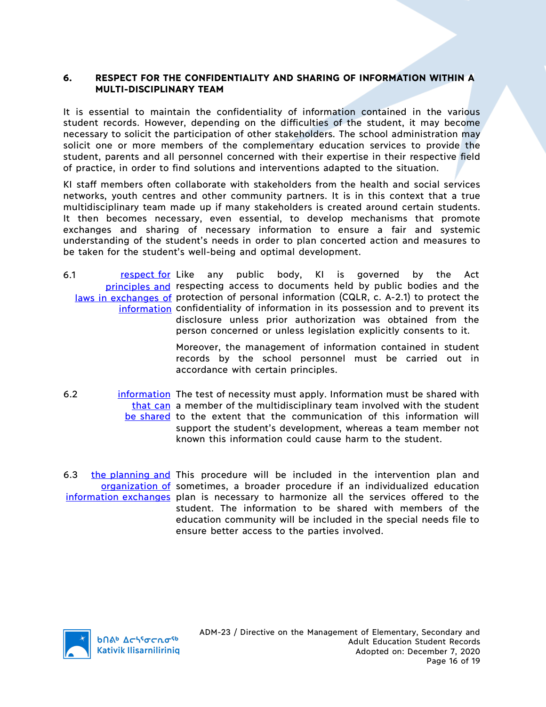## **6. RESPECT FOR THE CONFIDENTIALITY AND SHARING OF INFORMATION WITHIN A MULTI-DISCIPLINARY TEAM**

It is essential to maintain the confidentiality of information contained in the various student records. However, depending on the difficulties of the student, it may become necessary to solicit the participation of other stakeholders. The school administration may solicit one or more members of the complementary education services to provide the student, parents and all personnel concerned with their expertise in their respective field of practice, in order to find solutions and interventions adapted to the situation.

KI staff members often collaborate with stakeholders from the health and social services networks, youth centres and other community partners. It is in this context that a true multidisciplinary team made up if many stakeholders is created around certain students. It then becomes necessary, even essential, to develop mechanisms that promote exchanges and sharing of necessary information to ensure a fair and systemic understanding of the student's needs in order to plan concerted action and measures to be taken for the student's well-being and optimal development.

6.1 **respect for Like any public body**, KI is governed by the Act principles and respecting access to documents held by public bodies and the laws in exchanges of protection of personal information (CQLR, c. A-2.1) to protect the information confidentiality of information in its possession and to prevent its disclosure unless prior authorization was obtained from the person concerned or unless legislation explicitly consents to it.

> Moreover, the management of information contained in student records by the school personnel must be carried out in accordance with certain principles.

- 6.2 **information** The test of necessity must apply. Information must be shared with that can a member of the multidisciplinary team involved with the student be shared to the extent that the communication of this information will support the student's development, whereas a team member not known this information could cause harm to the student.
- 6.3 the planning and This procedure will be included in the intervention plan and organization of sometimes, a broader procedure if an individualized education information exchanges plan is necessary to harmonize all the services offered to the student. The information to be shared with members of the education community will be included in the special needs file to ensure better access to the parties involved.

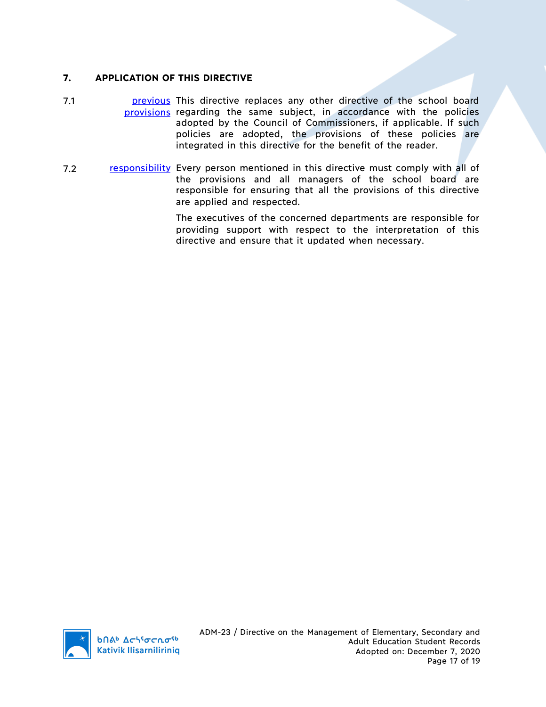## **7. APPLICATION OF THIS DIRECTIVE**

- 7.1 **previous** This directive replaces any other directive of the school board provisions regarding the same subject, in accordance with the policies adopted by the Council of Commissioners, if applicable. If such policies are adopted, the provisions of these policies are integrated in this directive for the benefit of the reader.
- 7.2 responsibility Every person mentioned in this directive must comply with all of the provisions and all managers of the school board are responsible for ensuring that all the provisions of this directive are applied and respected.

The executives of the concerned departments are responsible for providing support with respect to the interpretation of this directive and ensure that it updated when necessary.

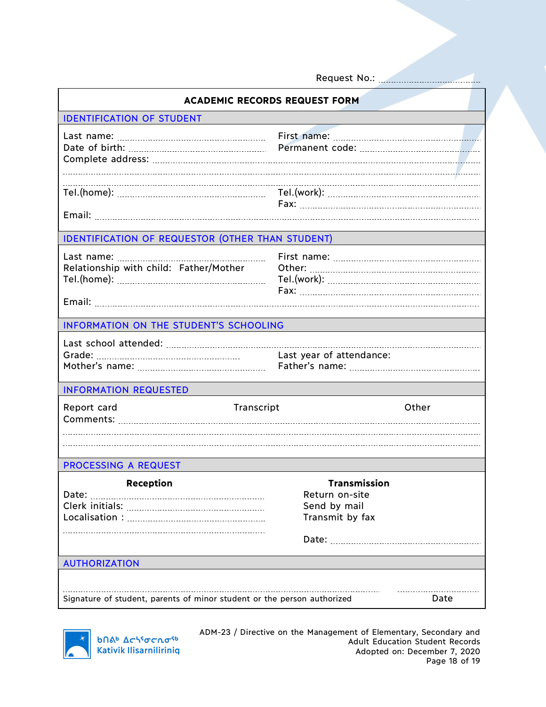Request No.:

| <b>ACADEMIC RECORDS REQUEST FORM</b>                                            |                                                                          |  |  |
|---------------------------------------------------------------------------------|--------------------------------------------------------------------------|--|--|
| <b>IDENTIFICATION OF STUDENT</b>                                                |                                                                          |  |  |
|                                                                                 |                                                                          |  |  |
|                                                                                 |                                                                          |  |  |
| <b>IDENTIFICATION OF REQUESTOR (OTHER THAN STUDENT)</b>                         |                                                                          |  |  |
| Relationship with child: Father/Mother                                          |                                                                          |  |  |
| INFORMATION ON THE STUDENT'S SCHOOLING                                          |                                                                          |  |  |
|                                                                                 | Last year of attendance:                                                 |  |  |
| <b>INFORMATION REQUESTED</b>                                                    |                                                                          |  |  |
| Transcript<br>Report card                                                       | Other                                                                    |  |  |
| <b>PROCESSING A REQUEST</b>                                                     |                                                                          |  |  |
| <b>Reception</b><br>Date:                                                       | <b>Transmission</b><br>Return on-site<br>Send by mail<br>Transmit by fax |  |  |
|                                                                                 |                                                                          |  |  |
| <b>AUTHORIZATION</b>                                                            |                                                                          |  |  |
|                                                                                 |                                                                          |  |  |
| Signature of student, parents of minor student or the person authorized<br>Date |                                                                          |  |  |



b∩δʰ Δ⊂\ˤσ⊂∩σ<sup>ςb</sup><br>Kativik Ilisarniliriniq

ADM-23 / Directive on the Management of Elementary, Secondary and Adult Education Student Records Adopted on: December 7, 2020 Page 18 of 19